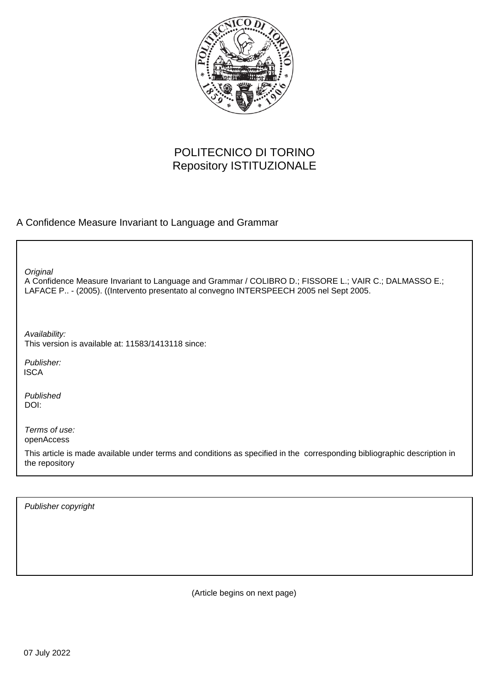

# POLITECNICO DI TORINO Repository ISTITUZIONALE

# A Confidence Measure Invariant to Language and Grammar

**Original** 

A Confidence Measure Invariant to Language and Grammar / COLIBRO D.; FISSORE L.; VAIR C.; DALMASSO E.; LAFACE P.. - (2005). ((Intervento presentato al convegno INTERSPEECH 2005 nel Sept 2005.

Availability: This version is available at: 11583/1413118 since:

Publisher: **ISCA** 

Published DOI:

Terms of use: openAccess

This article is made available under terms and conditions as specified in the corresponding bibliographic description in the repository

Publisher copyright

(Article begins on next page)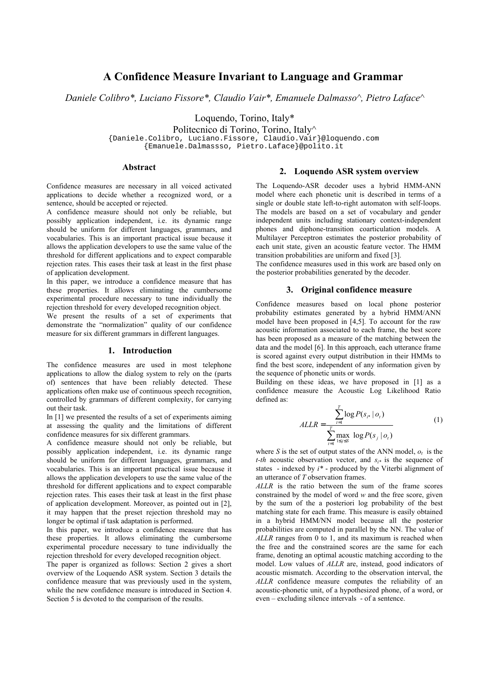# **A Confidence Measure Invariant to Language and Grammar**

*Daniele Colibro\*, Luciano Fissore\*, Claudio Vair\*, Emanuele Dalmasso^, Pietro Laface^* 

Loquendo, Torino, Italy\*

Politecnico di Torino, Torino, Italy^

{Daniele.Colibro, Luciano.Fissore, Claudio.Vair}@loquendo.com

{Emanuele.Dalmassso, Pietro.Laface}@polito.it

### **Abstract**

Confidence measures are necessary in all voiced activated applications to decide whether a recognized word, or a sentence, should be accepted or rejected.

A confidence measure should not only be reliable, but possibly application independent, i.e. its dynamic range should be uniform for different languages, grammars, and vocabularies. This is an important practical issue because it allows the application developers to use the same value of the threshold for different applications and to expect comparable rejection rates. This eases their task at least in the first phase of application development.

In this paper, we introduce a confidence measure that has these properties. It allows eliminating the cumbersome experimental procedure necessary to tune individually the rejection threshold for every developed recognition object.

We present the results of a set of experiments that demonstrate the "normalization" quality of our confidence measure for six different grammars in different languages.

#### **1. Introduction**

The confidence measures are used in most telephone applications to allow the dialog system to rely on the (parts of) sentences that have been reliably detected. These applications often make use of continuous speech recognition, controlled by grammars of different complexity, for carrying out their task.

In [1] we presented the results of a set of experiments aiming at assessing the quality and the limitations of different confidence measures for six different grammars.

A confidence measure should not only be reliable, but possibly application independent, i.e. its dynamic range should be uniform for different languages, grammars, and vocabularies. This is an important practical issue because it allows the application developers to use the same value of the threshold for different applications and to expect comparable rejection rates. This eases their task at least in the first phase of application development. Moreover, as pointed out in [2], it may happen that the preset rejection threshold may no longer be optimal if task adaptation is performed.

In this paper, we introduce a confidence measure that has these properties. It allows eliminating the cumbersome experimental procedure necessary to tune individually the rejection threshold for every developed recognition object.

The paper is organized as follows: Section 2 gives a short overview of the Loquendo ASR system. Section 3 details the confidence measure that was previously used in the system, while the new confidence measure is introduced in Section 4. Section 5 is devoted to the comparison of the results.

#### **2. Loquendo ASR system overview**

The Loquendo-ASR decoder uses a hybrid HMM-ANN model where each phonetic unit is described in terms of a single or double state left-to-right automaton with self-loops. The models are based on a set of vocabulary and gender independent units including stationary context-independent phones and diphone-transition coarticulation models. A Multilayer Perceptron estimates the posterior probability of each unit state, given an acoustic feature vector. The HMM transition probabilities are uniform and fixed [3].

The confidence measures used in this work are based only on the posterior probabilities generated by the decoder.

#### **3. Original confidence measure**

Confidence measures based on local phone posterior probability estimates generated by a hybrid HMM/ANN model have been proposed in [4,5]. To account for the raw acoustic information associated to each frame, the best score has been proposed as a measure of the matching between the data and the model [6]. In this approach, each utterance frame is scored against every output distribution in their HMMs to find the best score, independent of any information given by the sequence of phonetic units or words.

Building on these ideas, we have proposed in [1] as a confidence measure the Acoustic Log Likelihood Ratio defined as:

$$
ALLR = \frac{\sum_{t=1}^{T} \log P(s_{t*} | o_t)}{\sum_{t=1}^{T} \max_{1 \le j \le S} \log P(s_j | o_t)}
$$
(1)

where *S* is the set of output states of the ANN model,  $o_t$  is the *t-th* acoustic observation vector, and  $s_i$ <sup>\*</sup> is the sequence of states - indexed by *i\** - produced by the Viterbi alignment of an utterance of *T* observation frames.

*ALLR* is the ratio between the sum of the frame scores constrained by the model of word *w* and the free score, given by the sum of the a posteriori log probability of the best matching state for each frame. This measure is easily obtained in a hybrid HMM/NN model because all the posterior probabilities are computed in parallel by the NN. The value of *ALLR* ranges from 0 to 1, and its maximum is reached when the free and the constrained scores are the same for each frame, denoting an optimal acoustic matching according to the model. Low values of *ALLR* are, instead, good indicators of acoustic mismatch. According to the observation interval, the *ALLR* confidence measure computes the reliability of an acoustic-phonetic unit, of a hypothesized phone, of a word, or even – excluding silence intervals - of a sentence.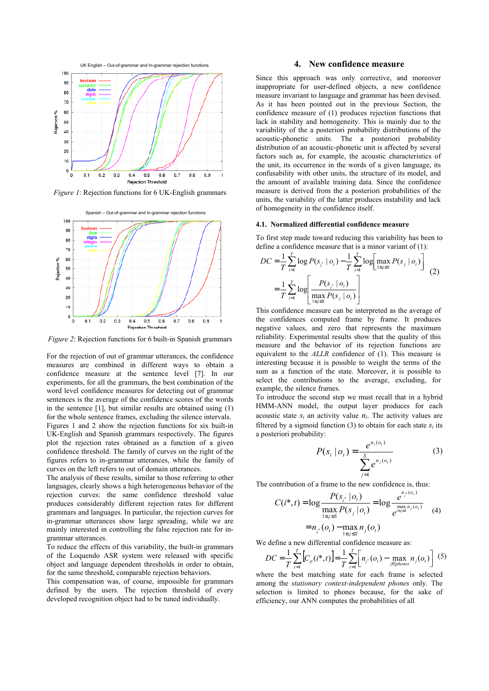

*Figure 1*: Rejection functions for 6 UK-English grammars



*Figure 2*: Rejection functions for 6 built-in Spanish grammars

For the rejection of out of grammar utterances, the confidence measures are combined in different ways to obtain a confidence measure at the sentence level [7]. In our experiments, for all the grammars, the best combination of the word level confidence measures for detecting out of grammar sentences is the average of the confidence scores of the words in the sentence [1], but similar results are obtained using (1) for the whole sentence frames, excluding the silence intervals. Figures 1 and 2 show the rejection functions for six built-in UK-English and Spanish grammars respectively. The figures plot the rejection rates obtained as a function of a given confidence threshold. The family of curves on the right of the figures refers to in-grammar utterances, while the family of curves on the left refers to out of domain utterances.

The analysis of these results, similar to those referring to other languages, clearly shows a high heterogeneous behavior of the rejection curves: the same confidence threshold value produces considerably different rejection rates for different grammars and languages. In particular, the rejection curves for in-grammar utterances show large spreading, while we are mainly interested in controlling the false rejection rate for ingrammar utterances.

To reduce the effects of this variability, the built-in grammars of the Loquendo ASR system were released with specific object and language dependent thresholds in order to obtain, for the same threshold, comparable rejection behaviors.

This compensation was, of course, impossible for grammars defined by the users. The rejection threshold of every developed recognition object had to be tuned individually.

#### **4. New confidence measure**

Since this approach was only corrective, and moreover inappropriate for user-defined objects, a new confidence measure invariant to language and grammar has been devised. As it has been pointed out in the previous Section, the confidence measure of (1) produces rejection functions that lack in stability and homogeneity. This is mainly due to the variability of the a posteriori probability distributions of the acoustic-phonetic units. The a posteriori probability distribution of an acoustic-phonetic unit is affected by several factors such as, for example, the acoustic characteristics of the unit, its occurrence in the words of a given language, its confusability with other units, the structure of its model, and the amount of available training data. Since the confidence measure is derived from the a posteriori probabilities of the units, the variability of the latter produces instability and lack of homogeneity in the confidence itself.

#### **4.1. Normalized differential confidence measure**

To first step made toward reducing this variability has been to define a confidence measure that is a minor variant of (1):

$$
DC = \frac{1}{T} \sum_{t=1}^{T} \log P(s_{i^*} | o_t) - \frac{1}{T} \sum_{t=1}^{T} \log \left[ \max_{1 \le j \le S} P(s_j | o_t) \right]
$$
  
= 
$$
\frac{1}{T} \sum_{t=1}^{T} \log \left[ \frac{P(s_{i^*} | o_t)}{\max_{1 \le j \le S} P(s_j | o_t)} \right]
$$
 (2)

This confidence measure can be interpreted as the average of the confidences computed frame by frame. It produces negative values, and zero that represents the maximum reliability. Experimental results show that the quality of this measure and the behavior of its rejection functions are equivalent to the *ALLR* confidence of (1). This measure is interesting because it is possible to weight the terms of the sum as a function of the state. Moreover, it is possible to select the contributions to the average, excluding, for example, the silence frames.

To introduce the second step we must recall that in a hybrid HMM-ANN model, the output layer produces for each acoustic state  $s_i$  an activity value  $n_i$ . The activity values are filtered by a sigmoid function  $(3)$  to obtain for each state  $s_i$  its a posteriori probability:

$$
P(s_i | o_t) = \frac{e^{n_i(o_t)}}{\sum_{j=1}^{S} e^{n_j(o_t)}}
$$
 (3)

The contribution of a frame to the new confidence is, thus:

$$
C(i^*, t) = \log \frac{P(s_{i^*} | o_t)}{\max_{1 \le j \le S} P(s_j | o_t)} = \log \frac{e^{n_i^*(o_t)}}{e^{\max_{1 \le j \le S} n_j(o_t)}} \tag{4}
$$

$$
= n_{i^*}(o_t) - \max_{1 \le j \le S} n_j(o_t)
$$

We define a new differential confidence measure as:

$$
DC = \frac{1}{T} \sum_{t=1}^{T} \left[ C_p(i^*, t) \right] = \frac{1}{T} \sum_{t=1}^{T} \left[ n_i \cdot (o_t) - \max_{j \in phones} n_j(o_t) \right] \tag{5}
$$

where the best matching state for each frame is selected among the *stationary context-independent phones* only. The selection is limited to phones because, for the sake of efficiency, our ANN computes the probabilities of all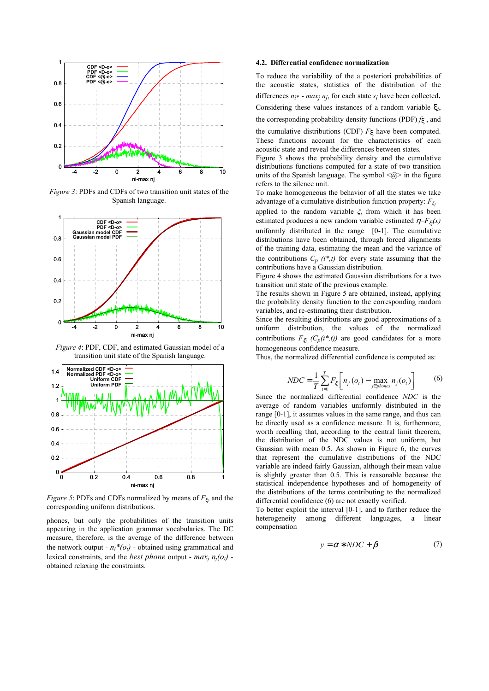

*Figure 3*: PDFs and CDFs of two transition unit states of the Spanish language.



*Figure 4*: PDF, CDF, and estimated Gaussian model of a transition unit state of the Spanish language.



*Figure 5*: PDFs and CDFs normalized by means of *F*<sub>ξ</sub>, and the corresponding uniform distributions.

phones, but only the probabilities of the transition units appearing in the application grammar vocabularies. The DC measure, therefore, is the average of the difference between the network output -  $n_i^*(o_i)$  - obtained using grammatical and lexical constraints, and the *best phone* output -  $max_i n_i(o_i)$  obtained relaxing the constraints.

#### **4.2. Differential confidence normalization**

To reduce the variability of the a posteriori probabilities of the acoustic states, statistics of the distribution of the differences  $n_i^*$  -  $max_i n_i$ , for each state  $s_i$  have been collected. Considering these values instances of a random variable ξ*i*, the corresponding probability density functions (PDF) *f*ξ , and

the cumulative distributions (CDF) *F*ξ have been computed. These functions account for the characteristics of each acoustic state and reveal the differences between states.

Figure 3 shows the probability density and the cumulative distributions functions computed for a state of two transition units of the Spanish language. The symbol  $\langle \hat{\omega} \rangle$  in the figure refers to the silence unit.

To make homogeneous the behavior of all the states we take advantage of a cumulative distribution function property: *F<sup>ξ</sup><sup>i</sup>*

applied to the random variable *ξi* from which it has been estimated produces a new random variable estimated  $\eta = F_{\xi_i}(x)$ uniformly distributed in the range [0-1]. The cumulative distributions have been obtained, through forced alignments of the training data, estimating the mean and the variance of the contributions  $C_p$   $(i^*,t)$  for every state assuming that the contributions have a Gaussian distribution.

Figure 4 shows the estimated Gaussian distributions for a two transition unit state of the previous example.

The results shown in Figure 5 are obtained, instead, applying the probability density function to the corresponding random variables, and re-estimating their distribution.

Since the resulting distributions are good approximations of a uniform distribution, the values of the normalized contributions  $F_{\xi_i}$  ( $C_p(i^*,t)$ ) are good candidates for a more homogeneous confidence measure.

Thus, the normalized differential confidence is computed as:

$$
NDC = \frac{1}{T} \sum_{t=1}^{T} F_{\xi_t} \bigg[ n_i \cdot (o_t) - \max_{j \in phones} n_j(o_t) \bigg] \tag{6}
$$

Since the normalized differential confidence *NDC* is the average of random variables uniformly distributed in the range [0-1], it assumes values in the same range, and thus can be directly used as a confidence measure. It is, furthermore, worth recalling that, according to the central limit theorem, the distribution of the NDC values is not uniform, but Gaussian with mean 0.5. As shown in Figure 6, the curves that represent the cumulative distributions of the NDC variable are indeed fairly Gaussian, although their mean value is slightly greater than 0.5. This is reasonable because the statistical independence hypotheses and of homogeneity of the distributions of the terms contributing to the normalized differential confidence (6) are not exactly verified.

To better exploit the interval [0-1], and to further reduce the heterogeneity among different languages, a linear compensation

$$
y = \alpha * NDC + \beta \tag{7}
$$